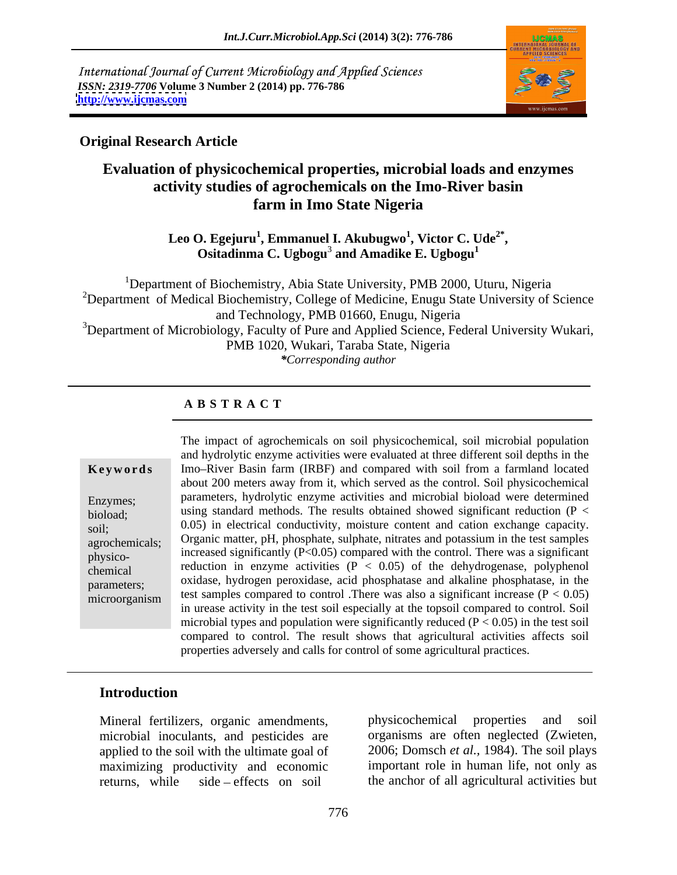International Journal of Current Microbiology and Applied Sciences *ISSN: 2319-7706* **Volume 3 Number 2 (2014) pp. 776-786 <http://www.ijcmas.com>**



### **Original Research Article**

# **Evaluation of physicochemical properties, microbial loads and enzymes activity studies of agrochemicals on the Imo-River basin farm in Imo State Nigeria**

**Leo O. Egejuru<sup>1</sup> , Emmanuel I. Akubugwo<sup>1</sup> , Victor C. Ude2\*** ). Egejuru<sup>1</sup>, Emmanuel I. Akubugwo<sup>1</sup>, Victor C. Ude<sup>2\*</sup>,<br>Ositadinma C. Ugbogu<sup>3</sup> and Amadike E. Ugbogu<sup>1</sup>

<sup>1</sup>Department of Biochemistry, Abia State University, PMB 2000, Uturu, Nigeria <sup>2</sup>Department of Medical Biochemistry, College of Medicine, Enugu State University of Science and Technology, PMB 01660, Enugu, Nigeria <sup>3</sup>Department of Microbiology, Faculty of Pure and Applied Science, Federal University Wukari, PMB 1020, Wukari, Taraba State, Nigeria *\*Corresponding author*

### **A B S T R A C T**

**Keywords** Imo–River Basin farm (IRBF) and compared with soil from a farmland located Enzymes; parameters, hydrolytic enzyme activities and microbial bioload were determined bioload; using standard methods. The results obtained showed significant reduction (P < soil; 0.05) in electrical conductivity, moisture content and cation exchange capacity. agrochemicals; Organic matter, pH, phosphate, sulphate, nitrates and potassium in the test samples physico-<br>increased significantly  $(P<0.05)$  compared with the control. There was a significant  $r_{\text{chemical}}$  reduction in enzyme activities ( $P < 0.05$ ) of the dehydrogenase, polyphenol parameters; oxidase, hydrogen peroxidase, acid phosphatase and alkaline phosphatase, in the  $\mu$ <sup>--------------</sup>,<br>microorganism test samples compared to control .There was also a significant increase (P < 0.05) The impact of agrochemicals on soil physicochemical, soil microbial population and hydrolytic enzyme activities were evaluated at three different soil depths in the about 200 meters away from it, which served as the control. Soil physicochemical in urease activity in the test soil especially at the topsoil compared to control. Soil microbial types and population were significantly reduced  $(P < 0.05)$  in the test soil compared to control. The result shows that agricultural activities affects soil properties adversely and calls for control of some agricultural practices.

### **Introduction**

microbial inoculants, and pesticides are applied to the soil with the ultimate goal of returns, while side effects on soil the anchor of all agricultural activities but

Mineral fertilizers, organic amendments, maximizing productivity and economic important role in human life, not only as physicochemical properties and organisms are often neglected (Zwieten, 2006; Domsch *et al.,* 1984). The soil plays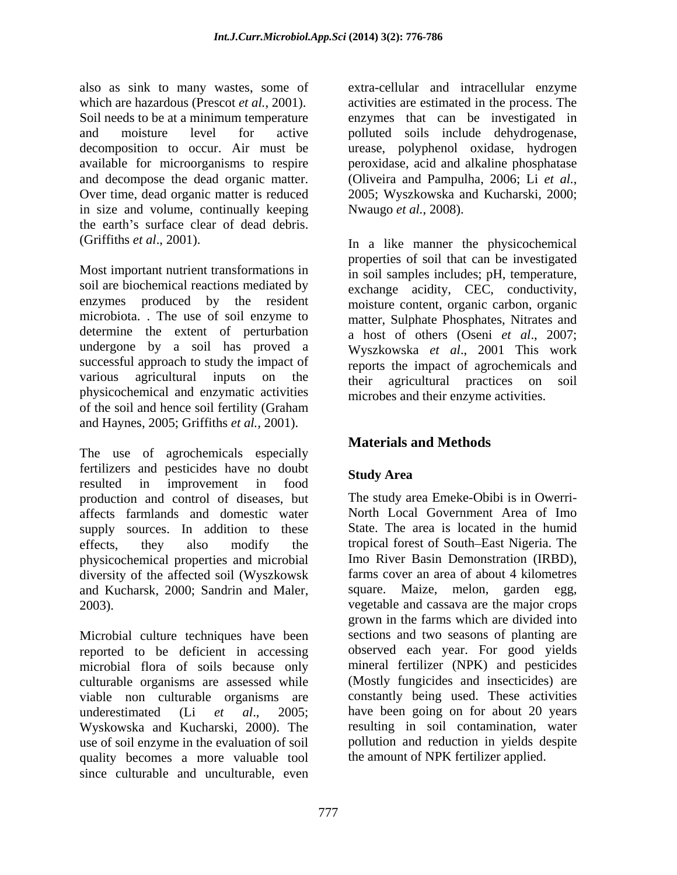also as sink to many wastes, some of which are hazardous (Prescot *et al.*, 2001). **activities are estimated in the process.** The Soil needs to be at a minimum temperature enzymes that can be investigated in and moisture level for active polluted soils include dehydrogenase, decomposition to occur. Air must be urease, polyphenol oxidase, hydrogen available for microorganisms to respire peroxidase, acid and alkaline phosphatase and decompose the dead organic matter. (Oliveira and Pampulha, 2006; Li et al., Over time, dead organic matter is reduced 2005; Wyszkowska and Kucharski, 2000; in size and volume, continually keeping the earth's surface clear of dead debris.

Most important nutrient transformations in in soil samples includes; pH, temperature, soil are biochemical reactions mediated by enzymes produced by the resident moisture content, organic carbon, organic microbiota. . The use of soil enzyme to determine the extent of perturbation undergone by a soil has proved a Wyszkowska *et al*., 2001 This work successful approach to study the impact of various agricultural inputs on the their agricultural practices on soil physicochemical and enzymatic activities of the soil and hence soil fertility (Graham and Haynes, 2005; Griffiths *et al.,* 2001).

The use of agrochemicals especially fertilizers and pesticides have no doubt resulted in improvement in food budy fried production and control of diseases, but affects farmlands and domestic water supply sources. In addition to these effects, they also modify the tropical forest of South East Nigeria. The physicochemical properties and microbial diversity of the affected soil (Wyszkowsk and Kucharsk, 2000; Sandrin and Maler, square. Maize, melon, garden egg,

Microbial culture techniques have been reported to be deficient in accessing observed each year. For good yields microbial flora of soils because only mineral fertilizer (NPK) and pesticides culturable organisms are assessed while viable non culturable organisms are underestimated (Li *et al*., 2005; have been going on for about 20 years Wyskowska and Kucharski, 2000). The use of soil enzyme in the evaluation of soil pollution and reduction in yields despite quality becomes a more valuable tool since culturable and unculturable, even

extra-cellular and intracellular enzyme (Oliveira and Pampulha, 2006; Li*et al.*, 2005; Wyszkowska and Kucharski, 2000; Nwaugo *et al.*, 2008).

(Griffiths *et al*., 2001). In a like manner the physicochemical properties of soil that can be investigated exchange acidity, CEC, conductivity, matter, Sulphate Phosphates, Nitrates and a host of others (Oseni *et al*., 2007; reports the impact of agrochemicals and their agricultural practices on soil microbes and their enzyme activities.

# **Materials and Methods**

## **Study Area**

2003). vegetable and cassava are the major crops The study area Emeke-Obibi is in Owerri- North Local Government Area of Imo State. The area is located in the humid Imo River Basin Demonstration (IRBD), farms cover an area of about 4 kilometres grown in the farms which aredivided into sections and two seasons of planting are (Mostly fungicides and insecticides) are constantly being used. These activities resulting in soil contamination, water the amount of NPK fertilizer applied.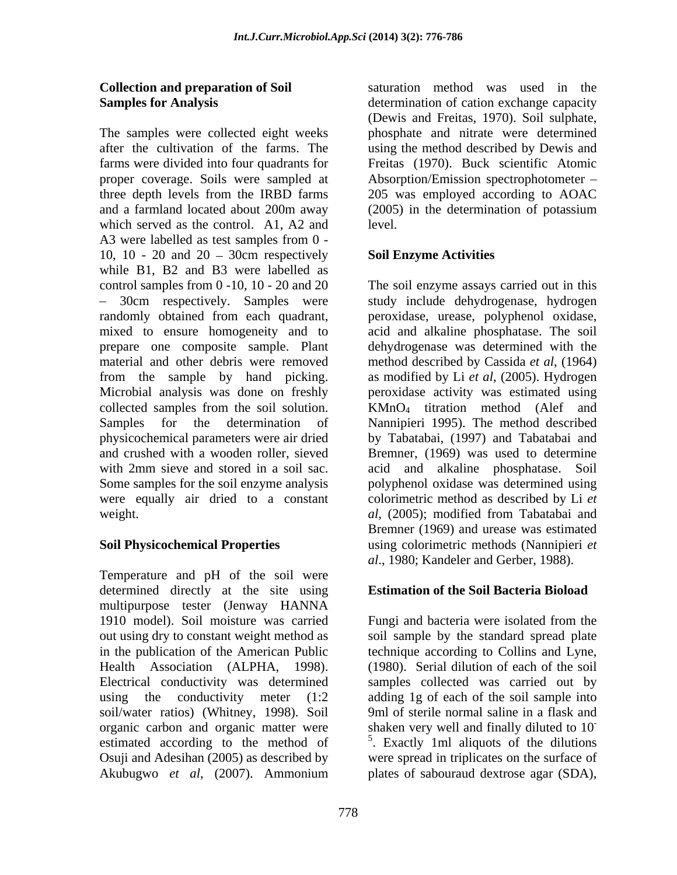which served as the control. A1, A2 and level. A3 were labelled as test samples from 0 - 10, 10 - 20 and  $20 - 30$ cm respectively while B1, B2 and B3 were labelled as control samples from 0 -10, 10 - 20 and 20 The soil enzyme assays carried out in this randomly obtained from each quadrant, peroxidase, urease, polyphenol oxidase, mixed to ensure homogeneity and to acid and alkaline phosphatase. The soil prepare one composite sample. Plant dehydrogenase was determined with the material and other debris were removed method described by Cassida *et al*, (1964) from the sample by hand picking. as modified by Li *et al*, (2005). Hydrogen Microbial analysis was done on freshly peroxidase activity was estimated using collected samples from the soil solution.  $KMnO<sub>4</sub>$  titration method (Alef and Samples for the determination of Nannipieri 1995). The method described physicochemical parameters were air dried by Tabatabai, (1997) and Tabatabai and and crushed with a wooden roller, sieved Bremner, (1969) was used to determine with 2mm sieve and stored in a soil sac. acid and alkaline phosphatase. Soil Some samples for the soil enzyme analysis polyphenol oxidase was determined using were equally air dried to a constant colorimetric method as described by Li *et*  weight. *al*, (2005); modified from Tabatabai and

Temperature and pH of the soil were determined directly at the site using multipurpose tester (Jenway HANNA 1910 model). Soil moisture was carried Fungi and bacteria were isolated from the out using dry to constant weight method as soil sample by the standard spread plate in the publication of the American Public technique according to Collins and Lyne, Health Association (ALPHA, 1998). (1980). Serial dilution of each of the soil Electrical conductivity was determined samples collected was carried out by using the conductivity meter (1:2 adding 1g of each of the soil sample into soil/water ratios) (Whitney, 1998). Soil 9ml of sterile normal saline in a flask and organic carbon and organic matter were shaken very well and finally diluted to 10 estimated according to the method of <sup>5</sup>. Exactly 1ml aliquots of the dilutions Osuji and Adesihan (2005) as described by were spread in triplicates on the surface of Akubugwo *et al*, (2007). Ammonium plates of sabouraud dextrose agar (SDA),

**Collection and preparation of Soil**  saturation method was used in the **Samples for Analysis** determination of cation exchange capacity The samples were collected eight weeks phosphate and nitrate were determined after the cultivation of the farms. The using the method described by Dewis and farms were divided into four quadrants for Freitas (1970). Buck scientific Atomic proper coverage. Soils were sampled at Absorption/Emission spectrophotometer three depth levels from the IRBD farms 205 was employed according to AOAC and a farmland located about 200m away (2005) in the determination of potassium (Dewis and Freitas, 1970). Soil sulphate, (2005) in the determination of potassium level.

### **Soil Enzyme Activities**

30cm respectively. Samples were study include dehydrogenase, hydrogen **Soil Physicochemical Properties** using colorimetric methods (Nannipieri *et*  Bremner (1969) and urease was estimated *al*., 1980; Kandeler and Gerber, 1988).

### **Estimation of the Soil Bacteria Bioload**

**-** Construction of the construction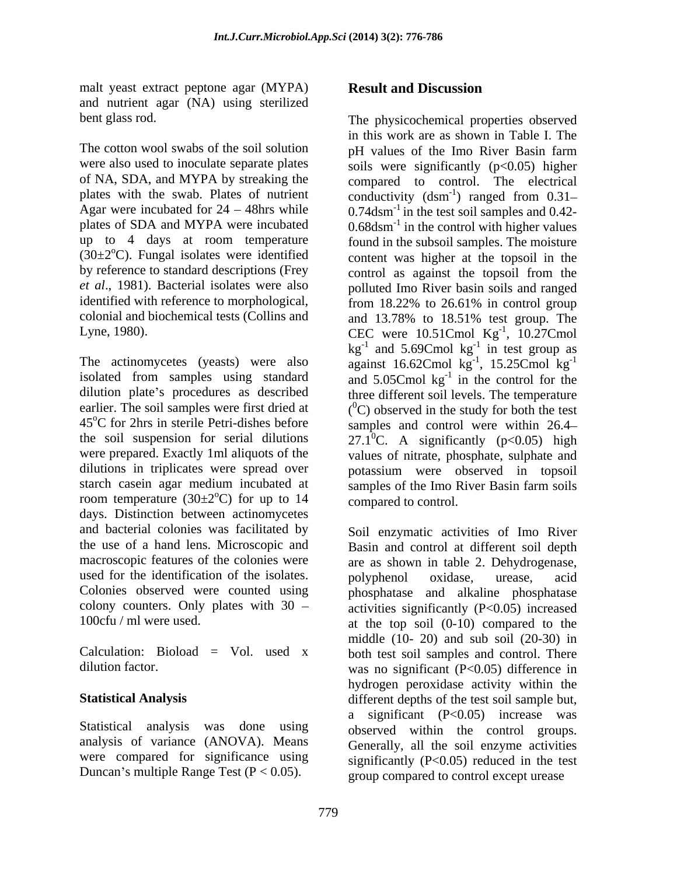malt yeast extract peptone agar (MYPA) Result and Discussion and nutrient agar (NA) using sterilized

The cotton wool swabs of the soil solution by pH values of the Imo River Basin farm up to 4 days at room temperature  $(30\pm2\degree C)$ . Fungal isolates were identified colonial and biochemical tests (Collins and and 13.78% to 18.51% test group. The

the soil suspension for serial dilutions room temperature  $(30\pm2\degree C)$  for up to 14 days. Distinction between actinomycetes and bacterial colonies was facilitated by Soil enzymatic activities of Imo River the use of a hand lens. Microscopic and Basin and control at different soil depth macroscopic features of the colonies were are as shown in table 2. Dehydrogenase, used for the identification of the isolates. polyphenol oxidase, urease, acid Colonies observed were counted using phosphatase and alkaline phosphatase colony counters. Only plates with  $30 -$  activities significantly (P<0.05) increased

analysis of variance (ANOVA). Means were compared for significance using Duncan's multiple Range Test  $(P < 0.05)$ .

### **Result and Discussion**

bent glass rod. The physicochemical properties observed were also used to inoculate separate plates soils were significantly (p<0.05) higher of NA, SDA, and MYPA by streaking the compared to control. The electrical plates with the swab. Plates of nutrient conductivity (dsm<sup>-1</sup>) ranged from 0.31-Agar were incubated for  $24 - 48$ hrs while  $0.74$ dsm<sup>-1</sup> in the test soil samples and 0.42plates of SDA and MYPA were incubated  $0.68$ dsm<sup>-1</sup> in the control with higher values by reference to standard descriptions (Frey control as against the topsoil from the *et al*., 1981). Bacterial isolates were also polluted Imo River basin soils and ranged identified with reference to morphological, from 18.22% to 26.61% in control group Lyne, 1980). CEC were  $10.51$ Cmol Kg<sup>-1</sup>,  $10.27$ Cmol The actinomycetes (yeasts) were also against  $16.62$ Cmol  $\text{kg}^{-1}$ ,  $15.25$ Cmol  $\text{kg}^{-1}$ isolated from samples using standard and  $5.05$ Cmol  $\text{kg}^{-1}$  in the control for the dilution plate's procedures as described three different soil levels. The temperature earlier. The soil samples were first dried at  $(^{0}C)$  observed in the study for both the test 45<sup>o</sup>C for 2hrs in sterile Petri-dishes before samples and control were within 26.4– were prepared. Exactly 1ml aliquots of the values of nitrate, phosphate, sulphate and dilutions in triplicates were spread over potassium were observed in topsoil starch casein agar medium incubated at samples of the Imo River Basin farm soils  $^{\circ}$ C) for up to 14 compared to control. in this work are as shown in Table I. The pH values of the Imo River Basin farm ) ranged from 0.31 found in the subsoil samples. The moisture content was higher at the topsoil in the and 13.78% to 18.51% test group. The  $^{-1}$  10.27Cmol , 10.27Cmol  $kg^{-1}$  and 5.69Cmol  $kg^{-1}$  in test group as  $-1$  in toot group as in test group as against 16.62Cmol  $kg^{-1}$ , 15.25Cmol  $kg^{-1}$  $^{-1}$  15.25 Cmol  $\ln^{-1}$ ,  $15.25$ Cmol kg<sup>-1</sup> -1 and  $5.05$ Cmol  $\text{kg}^{-1}$  in the control for the 27.1<sup>o</sup>C. A significantly ( $p<0.05$ ) high compared to control.

100cfu / ml were used. at the top soil (0-10) compared to the Calculation: Bioload  $=$  Vol. used x both test soil samples and control. There dilution factor. was no significant (P<0.05) difference in **Statistical Analysis**  different depths of the test soil sample but, Statistical analysis was done using observed within the control groups. polyphenol oxidase, urease, acid middle (10- 20) and sub soil (20-30) in hydrogen peroxidase activity within the a significant (P<0.05) increase was Generally, all the soil enzyme activities significantly  $(P<0.05)$  reduced in the test group compared to control except urease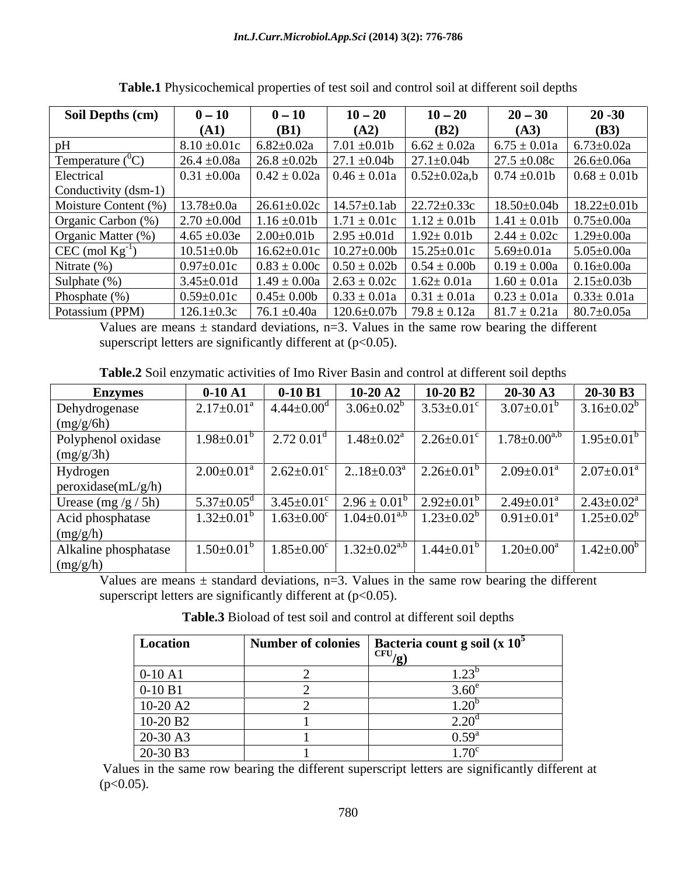| <b>Soil Depths (cm)</b> | $0-10$            | $0 - 10$          | $10 - 20$          | $10 - 20$           | $20 - 30$                     | $20 - 30$          |
|-------------------------|-------------------|-------------------|--------------------|---------------------|-------------------------------|--------------------|
|                         | (A1)              | <b>(B1)</b>       | (A2)               | (B2)                | (A3)                          | (B3)               |
| pH                      | $8.10 \pm 0.01c$  | $6.82 \pm 0.02a$  | $7.01 \pm 0.01b$   | $6.62 \pm 0.02a$    | $6.75 \pm 0.01a$              | $6.73 \pm 0.02a$   |
| Temperature $(^0C)$     | $26.4 \pm 0.08a$  | $26.8 \pm 0.02b$  | $27.1 \pm 0.04b$   | $27.1 \pm 0.04$     | $27.5 \pm 0.08c$              | $26.6 \pm 0.06a$   |
| Electrical              | $0.31 \pm 0.00a$  | $0.42 \pm 0.02a$  | $0.46 \pm 0.01a$   | $0.52 \pm 0.02a$ ,b | $0.74 \pm 0.01b$              | $0.68 \pm 0.01$    |
| Conductivity (dsm-1)    |                   |                   |                    |                     |                               |                    |
| Moisture Content (%)    | $13.78 \pm 0.0a$  | $26.61 \pm 0.02c$ | $14.57 \pm 0.1$ ab | $22.72 \pm 0.33c$   | $18.50 \pm 0.04b$             | $18.22 \pm 0.01$ b |
| Organic Carbon (%)      | $2.70 \pm 0.00d$  | $1.16 \pm 0.01b$  | $1.71 \pm 0.01c$   | $1.12 \pm 0.01b$    | $1.41 \pm 0.01b$              | $0.75 \pm 0.00a$   |
| Organic Matter (%       | $4.65 \pm 0.03e$  | $2.00\pm0.01$     | $2.95 \pm 0.01d$   | $1.92 \pm 0.01$     | $2.44 \pm 0.02c$              | $1.29 \pm 0.00a$   |
| $CEC \pmod{Kg^{-1}}$    | $10.51 \pm 0.0$   | $16.62 \pm 0.01c$ | $10.27 \pm 0.00b$  | $15.25 \pm 0.01c$   | $5.69 \pm 0.01a$              | $5.05 \pm 0.00a$   |
| Nitrate $(\%)$          | $0.97 \pm 0.01c$  | $0.83 \pm 0.00c$  | $0.50 \pm 0.02b$   | $0.54 \pm 0.00$     | $0.19 \pm 0.00a$              | $0.16 \pm 0.00a$   |
| Sulphate $(\%)$         | $3.45 \pm 0.01$ d | $1.49 \pm 0.00a$  | $2.63 \pm 0.02c$   | $1.62 \pm 0.01a$    | $1.60 \pm 0.01a$              | $2.15 \pm 0.03 b$  |
| Phosphate $(\%)$        | $0.59 \pm 0.01c$  | $0.45 \pm 0.00$   | $0.33 \pm 0.01a$   | $0.31 \pm 0.01a$    | $0.23 \pm 0.01a$              | $0.33 \pm 0.01a$   |
| Potassium (PPM)         | $126.1 \pm 0.3c$  | $76.1 \pm 0.40a$  | $120.6 \pm 0.07$ b | $79.8 \pm 0.12a$    | $81.7 \pm 0.21a$   80.7±0.05a |                    |

**Table.1** Physicochemical properties of test soil and control soil at different soil depths

Values are means  $\pm$  standard deviations, n=3. Values in the same row bearing the different superscript letters are significantly different at  $(p<0.05)$ .

**Table.2** Soil enzymatic activities of Imo River Basin and control at different soil depths

| <b>Enzymes</b>       | $0-10A1$                     | $0-10 B1$                    | $10-20A2$                 | 10-20 B2                | $20-30$ A3                 | 20-30 B3          |
|----------------------|------------------------------|------------------------------|---------------------------|-------------------------|----------------------------|-------------------|
| Dehydrogenase        | $2.17 \pm 0.01^{\text{a}}$   | $4.44 \pm 0.00^{\circ}$      | $3.06 \pm 0.02^b$         | $3.53 \pm 0.01^c$       | $3.07 \pm 0.01^b$          | $3.16 \pm 0.02^b$ |
| (mg/g/6h)            |                              |                              |                           |                         |                            |                   |
| Polyphenol oxidase   | $.98 \pm 0.01$               | $2.72 0.01^{\circ}$          | $1.48 \pm 0.02^a$         | $2.26 \pm 0.01$ °       | $1.78 \pm 0.00^{\text{a}}$ | $1.95 \pm 0.01^b$ |
| (mg/g/3h)            |                              |                              |                           |                         |                            |                   |
| Hydrogen             | $2.00 \pm 0.01^{\text{a}}$   | $2.62 \pm 0.01$ <sup>c</sup> | $218 \pm 0.03^{\text{a}}$ | $2.26 \pm 0.01^b$       | $2.09 \pm 0.01^{\circ}$    | $2.07 \pm 0.01^a$ |
| peroxidase(mL/g/h)   |                              |                              |                           |                         |                            |                   |
| Urease $(mg/g / 5h)$ | $5.37 \pm 0.05$ <sup>d</sup> | $3.45 \pm 0.01$ <sup>c</sup> | $2.96 \pm 0.01^{\circ}$   | $2.92 \pm 0.01^b$       | $2.49 \pm 0.01^{\circ}$    | $2.43 \pm 0.02^a$ |
| Acid phosphatase     | 1.32 $\pm$ 0.01 $^{\circ}$   | $1.63 \pm 0.00$ <sup>c</sup> | $1.04 \pm 0.01^{a,b}$     | $1.23 \pm 0.02^b$       | $0.91 \pm 0.01$            | $1.25 \pm 0.02^b$ |
| (mg/g/h)             |                              |                              |                           |                         |                            |                   |
| Alkaline phosphatase | $.50 \pm 0.01$               | $1.85 \pm 0.00^{\circ}$      | $1.32 \pm 0.02^{a,b}$     | $1.44 \pm 0.01^{\circ}$ | $1.20 \pm 0.00^a$          | $1.42 \pm 0.00^b$ |
| $\log(g/h)$          |                              |                              |                           |                         |                            |                   |

Values are means  $\pm$  standard deviations, n=3. Values in the same row bearing the different superscript letters are significantly different at  $(p<0.05)$ .

**Table.3** Bioload of test soil and control at different soil depths

| <b>Location</b>      | <sup>1</sup> Number of colonies   Bacteria count g soil (x $10^5$ |
|----------------------|-------------------------------------------------------------------|
|                      | $CFU_{\alpha}$                                                    |
| $0-10$ A1            | 1.LJ                                                              |
| $0-10 B1$            |                                                                   |
| 10-20 A <sub>2</sub> |                                                                   |
| 10-20 B <sub>2</sub> | 2.20 <sup>d</sup>                                                 |
| 20-30 A3             | $0.59^{a}$                                                        |
| $20-30 B3$           | $\overline{a}$<br>1.70                                            |

Values in the same row bearing the different superscript letters are significantly different at  $(p<0.05)$ .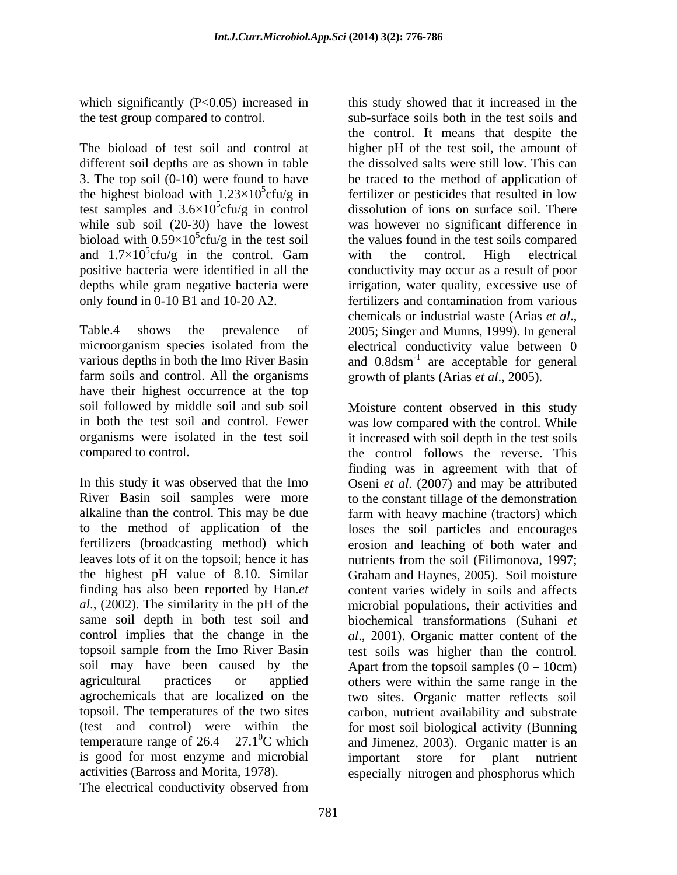which significantly  $(P<0.05)$  increased in

The bioload of test soil and control at higher pH of the test soil, the amount of different soil depths are as shown in table the dissolved salts were still low. This can 3. The top soil (0-10) were found to have be traced to the method of application of the highest bioload with  $1.23 \times 10^5$ cfu/g in fertilizer or pesticides that resulted in low test samples and  $3.6 \times 10^5$ cfu/g in control dissolution of ions on surface soil. There while sub soil (20-30) have the lowest<br>bioload with  $0.59 \times 10^5$  cfu/g in the test soil bioload with  $0.59 \times 10^5$ cfu/g in the test soil the values found in the test soils compared and  $1.7 \times 10^5$  cfu/g in the control. Gam with the control. High electrical positive bacteria were identified in all the conductivity may occur as a result of poor depths while gram negative bacteria were irrigation, water quality, excessive use of only found in 0-10 B1 and 10-20 A2. **Example 1** fertilizers and contamination from various

Table.4 shows the prevalence of 2005; Singer and Munns, 1999). In general microorganism species isolated from the electrical conductivity value between 0 various depths in both the Imo River Basin and  $0.8$ dsm<sup>-1</sup> are acceptable for general farm soils and control. All the organisms have their highest occurrence at the top

same soil depth in both test soil and topsoil sample from the Imo River Basin temperature range of  $26.4 - 27.1$ <sup>o</sup>C which is good for most enzyme and microbial activities (Barross and Morita, 1978). especially nitrogen and phosphorus which

The electrical conductivity observed from

the test group compared to control. Sub-surface soils both in the test soils and cfu/g in the control. Gam with the control. High electrical this study showed that it increased in the the control. It means that despite the was however no significant difference in with the control. High electrical fertilizers and contamination from various chemicals or industrial waste (Arias *et al*., 2005; Singer and Munns, 1999). In general growth of plants (Arias *et al*., 2005).

soil followed by middle soil and sub soil Moisture content observed in this study in both the test soil and control. Fewer was low compared with the control. While organisms were isolated in the test soil it increased with soil depth in the test soils compared to control. the control follows the reverse. This In this study it was observed that the Imo Oseni *et al*. (2007) and may be attributed River Basin soil samples were more to the constant tillage of the demonstration alkaline than the control. This may be due farm with heavy machine (tractors) which to the method of application of the loses the soil particles and encourages fertilizers (broadcasting method) which erosion and leaching of both water and leaves lots of it on the topsoil; hence it has nutrients from the soil (Filimonova, 1997; the highest pH value of 8.10. Similar Graham and Haynes, 2005). Soil moisture finding has also been reported by Han.*et*  content varies widely in soils and affects *al*., (2002). The similarity in the pH of the microbial populations, their activities and control implies that the change in the *al*., 2001). Organic matter content of the soil may have been caused by the Apart from the topsoil samples  $(0 - 10 \text{cm})$ agricultural practices or applied others were within the same range in the agrochemicals that are localized on the two sites. Organic matter reflects soil topsoil. The temperatures of the two sites carbon, nutrient availability and substrate (test and control) were within the for most soil biological activity (Bunning  ${}^{0}C$  which and Jimenez, 2003). Organic matter is an finding was in agreement with that of biochemical transformations (Suhani *et*  test soils was higher than the control. important store for plant nutrient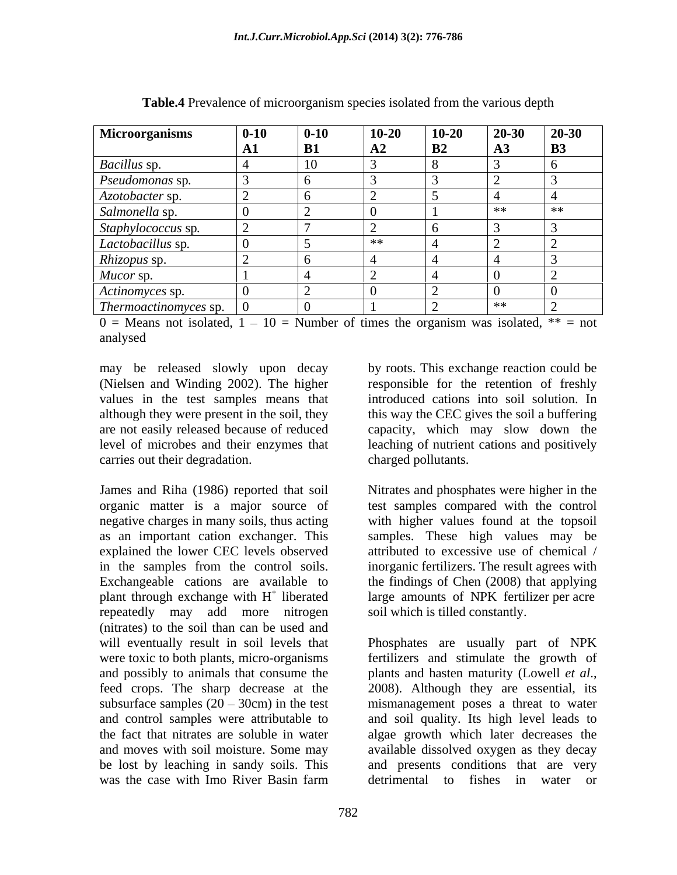| <b>Microorganisms</b>               | $0 - 10$ | $0 - 10$ | $10 - 20$  | $10 - 20$ | $20 - 30$     | $20 - 30$ |
|-------------------------------------|----------|----------|------------|-----------|---------------|-----------|
|                                     | лі       | B1       | ${\bf A2}$ | B2        | $\mathbf{A3}$ | <b>B3</b> |
| Bacillus sp.                        |          |          |            |           |               |           |
| Pseudomonas sp.                     |          |          |            |           |               |           |
| Azotobacter sp.                     |          |          |            |           |               |           |
| Salmonella sp.                      |          |          |            |           | **            | **        |
| Staphylococcus sp.                  |          |          |            |           |               |           |
| Lactobacillus sp.                   |          |          | $**$       |           |               |           |
| Rhizopus sp.                        |          |          |            |           |               |           |
| Mucor sp.                           |          |          |            |           |               |           |
| Actinomyces sp.                     |          |          |            |           |               |           |
| $\mid$ Thermoactinomyces sp. $\mid$ | v        |          |            |           | $**$          |           |

**Table.4** Prevalence of microorganism species isolated from the various depth

 $0 =$  Means not isolated,  $1 - 10 =$  Number of times the organism was isolated, \*\* = not analysed

may be released slowly upon decay (Nielsen and Winding 2002). The higher responsible for the retention of freshly values in the test samples means that although they were present in the soil, they this way the CEC gives the soil a buffering are not easily released because of reduced level of microbes and their enzymes that leaching of nutrient cations and positively carries out their degradation.

James and Riha (1986) reported that soil Nitrates and phosphates were higher in the organic matter is a major source of test samples compared with the control negative charges in many soils, thus acting with higher values found at the topsoil as an important cation exchanger. This samples. These high values may be explained the lower CEC levels observed attributed to excessive use of chemical / in the samples from the control soils. inorganic fertilizers. The result agrees with Exchangeable cations are available to the findings of Chen (2008) that applying plant through exchange with  $H<sup>+</sup>$  liberated repeatedly may add more nitrogen (nitrates) to the soil than can be used and and possibly to animals that consume the plants and hasten maturity (Lowell *et al.*, feed crops. The sharp decrease at the 2008). Although they are essential, its

by roots. This exchange reaction could be introduced cations into soil solution. In capacity, which may slow down the charged pollutants.

+ liberated large amounts of NPK fertilizer per acre inorganic fertilizers. The result agrees with soil which is tilled constantly.

will eventually result in soil levels that Phosphates are usually part of NPK were toxic to both plants, micro-organisms fertilizers and stimulate the growth of subsurface samples  $(20 - 30cm)$  in the test mismanagement poses a threat to water and control samples were attributable to and soil quality. Its high level leads to the fact that nitrates are soluble in water algae growth which later decreases the and moves with soil moisture. Some may available dissolved oxygen as they decay be lost by leaching in sandy soils. This and presents conditions that are very was the case with Imo River Basin farm detrimental to fishes in water or plants and hasten maturity (Lowell *et al*., 2008). Although they are essential, its detrimental to fishes in water or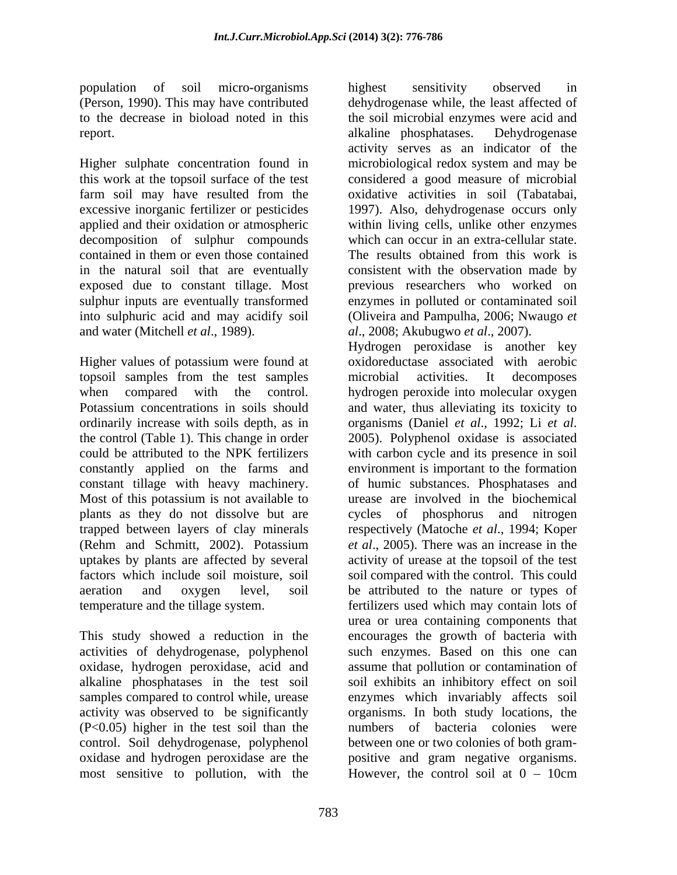report. alkaline phosphatases. Dehydrogenase

Higher sulphate concentration found in this work at the topsoil surface of the test considered a good measure of microbial farm soil may have resulted from the excessive inorganic fertilizer or pesticides 1997). Also, dehydrogenase occurs only applied and their oxidation or atmospheric decomposition of sulphur compounds contained in them or even those contained in the natural soil that are eventually consistent with the observation madeby exposed due to constant tillage. Most previous researchers who worked on sulphur inputs are eventually transformed into sulphuric acid and may acidify soil (Oliveira and Pampulha, 2006; Nwaugo *et*  and water (Mitchell *et al*., 1989). *al*., 2008; Akubugwo *et al*., 2007).

Higher values of potassium were found at topsoil samples from the test samples microbial activities. It decomposes when compared with the control. hydrogen peroxide into molecular oxygen Potassium concentrations in soils should and water, thus alleviating its toxicity to ordinarily increase with soils depth, as in organisms (Daniel et al., 1992; Li et al. the control (Table 1). This change in order 2005). Polyphenol oxidase is associated could be attributed to the NPK fertilizers with carbon cycle and its presence in soil constantly applied on the farms and environment is important to the formation constant tillage with heavy machinery. Most of this potassium is not available to urease are involved in the biochemical plants as they do not dissolve but are cycles of phosphorus and nitrogen trapped between layers of clay minerals respectively (Matoche *et al*., 1994; Koper (Rehm and Schmitt, 2002). Potassium *et al*., 2005). There was an increase in the uptakes by plants are affected by several activity of urease at the topsoil of the test factors which include soil moisture, soil aeration and oxygen level, soil be attributed to the nature or types of temperature and the tillage system. fertilizers used which may contain lots of

alkaline phosphatases in the test soil activity was observed to be significantly (P<0.05) higher in the test soil than the most sensitive to pollution, with the  $\blacksquare$  However, the control soil at  $0 - 10$ cm

population of soil micro-organisms (Person, 1990). This may have contributed dehydrogenase while, the least affected of to the decrease in bioload noted in this the soil microbial enzymes were acid and highest sensitivity observed in alkaline phosphatases. Dehydrogenase activity serves as an indicator of the microbiological redox system and may be oxidative activities in soil (Tabatabai, within living cells, unlike other enzymes which can occur in an extra-cellular state. The results obtained from this work is enzymes in polluted or contaminated soil

This study showed a reduction in the encourages the growth of bacteria with activities of dehydrogenase, polyphenol such enzymes. Based on this one can oxidase, hydrogen peroxidase, acid and assume that pollution or contamination of samples compared to control while, urease enzymes which invariably affects soil control. Soil dehydrogenase, polyphenol between one or two colonies of both gram oxidase and hydrogen peroxidase are the positive and gram negative organisms. Hydrogen peroxidase is another key oxidoreductase associated with aerobic microbial activities. It decomposes organisms (Daniel *et al*., 1992; Li *et al*. 2005). Polyphenol oxidase is associated of humic substances. Phosphatases and soil compared with the control. This could urea or urea containing components that soil exhibits an inhibitory effect on soil organisms. In both study locations, the numbers of bacteria colonies were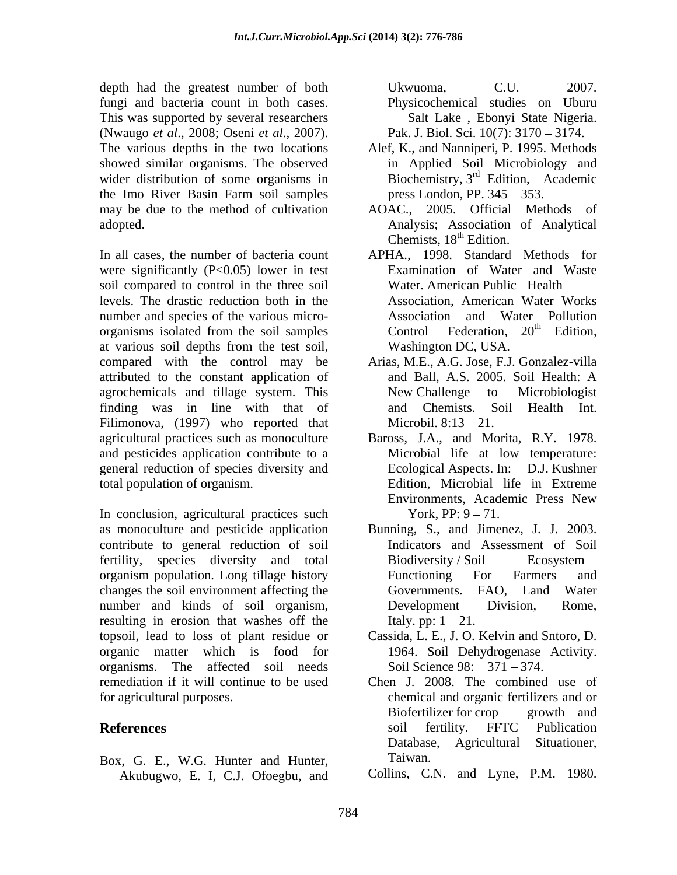depth had the greatest number of both Ukwuoma, C.U. 2007. fungi and bacteria count in both cases. This was supported by several researchers (Nwaugo *et al*., 2008; Oseni *et al*., 2007). The various depths in the two locations Alef, K., and Nanniperi, P. 1995. Methods showed similar organisms. The observed wider distribution of some organisms in the Imo River Basin Farm soil samples may be due to the method of cultivation

In all cases, the number of bacteria count APHA., 1998. Standard Methods for were significantly  $(P<0.05)$  lower in test soil compared to control in the three soil levels. The drastic reduction both in the number and species of the various micro organisms isolated from the soil samples  $\qquad$  Control Federation,  $20<sup>th</sup>$  Edition, at various soil depths from the test soil, compared with the control may be Arias, M.E., A.G. Jose, F.J. Gonzalez-villa attributed to the constant application of agrochemicals and tillage system. This finding was in line with that of and Chemists. Soil Health Int. Filimonova, (1997) who reported that agricultural practices such as monoculture Baross, J.A., and Morita, R.Y. 1978. and pesticides application contribute to a Microbial life at low temperature: general reduction of species diversity and Ecological Aspects. In: D.J. Kushner total population of organism. Edition, Microbial life in Extreme

In conclusion, agricultural practices such contribute to general reduction of soil fertility, species diversity and total Biodiversity Soil Ecosystem organism population. Long tillage history changes the soil environment affecting the number and kinds of soil organism, Development Division, Rome, resulting in erosion that washes off the topsoil, lead to loss of plant residue or organic matter which is food for 1964. Soil Dehydrogenase Activity. organisms. The affected soil needs remediation if it will continue to be used Chen J. 2008. The combined use of

Box, G. E., W.G. Hunter and Hunter, Taiwan. Akubugwo, E. I, C.J. Ofoegbu, and

Ukwuoma, C.U. 2007. Physicochemical studies on Uburu Salt Lake , Ebonyi State Nigeria. Pak. J. Biol. Sci. 10(7): 3170 – 3174.

- in Applied Soil Microbiology and Biochemistry,  $3<sup>rd</sup>$  Edition, Academic press London, PP.  $345 - 353$ .
- adopted. Analysis; Association of Analytical AOAC., 2005. Official Methods of Chemists,  $18<sup>th</sup>$  Edition.
	- Examination of Water and Waste Water. American Public Health Association, American Water Works Association and Water Pollution Control Federation,  $20<sup>th</sup>$  Edition, <sup>th</sup> Edition, Washington DC, USA.
	- and Ball, A.S. 2005. Soil Health: A New Challenge to Microbiologist and Chemists. Soil Health Int. Microbil.  $8:13 - 21$ .
	- Microbial life at low temperature: Ecological Aspects. In: Environments, Academic Press New York, PP:  $9 - 71$ .
- as monoculture and pesticide application Bunning, S., and Jimenez, J. J. 2003. Indicators and Assessment of Soil Biodiversity / Soil Functioning For Farmers and Governments. FAO, Land Water Development Division, Rome, Italy. pp:  $1 - 21$ .
	- Cassida, L. E., J. O. Kelvin and Sntoro, D. Soil Science 98: 371 – 374.
- for agricultural purposes. chemical and organic fertilizers and or **References** soil fertility. FFTC Publication Biofertilizer for crop growth and soil fertility. FFTC Publication Database, Agricultural Situationer, Taiwan.
	- Collins, C.N. and Lyne, P.M. 1980.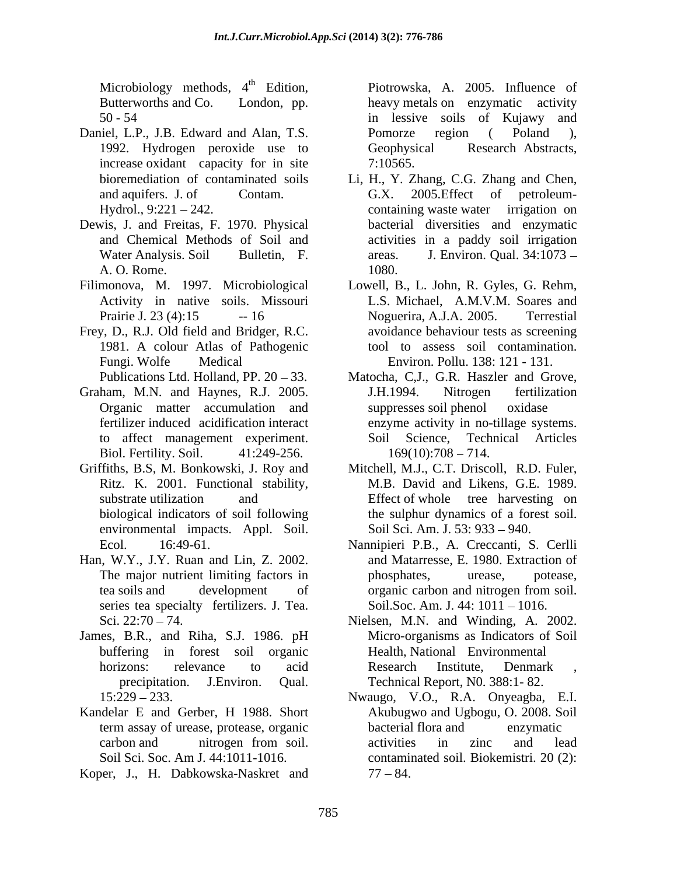Microbiology methods, 4<sup>th</sup> Edition, Piotrowska, A. 2005. Influence of

- Daniel, L.P., J.B. Edward and Alan, T.S. Pomorze region (Poland), 1992. Hydrogen peroxide use to increase oxidant capacity for in site 7:10565.<br>bioremediation of contaminated soils Li, H., Y. Z
- Dewis, J. and Freitas, F. 1970. Physical
- Filimonova, M. 1997. Microbiological Lowell, B., L. John, R. Gyles, G. Rehm, Activity in native soils. Missouri
- Frey, D., R.J. Old field and Bridger, R.C. 1981. A colour Atlas of Pathogenic
- Graham, M.N. and Haynes, R.J. 2005. J.H.1994. Nitrogen fertilization Organic matter accumulation and suppresses soil phenol oxidase to affect management experiment. Biol. Fertility. Soil. 41:249-256.
- Griffiths, B.S, M. Bonkowski, J. Roy and<br>Ritz. K. 2001. Functional stability, environmental impacts. Appl. Soil.
- Han, W.Y., J.Y. Ruan and Lin, Z. 2002. series tea specialty fertilizers. J. Tea.
- James, B.R., and Riha, S.J. 1986. pH
- Kandelar E and Gerber, H 1988. Short term assay of urease, protease, organic
- Koper, J., H. Dabkowska-Naskret and

Butterworths and Co. London, pp. heavy metals on enzymatic activity 50 - 54 in lessive soils of Kujawy and Pomorze region ( Poland ), Geophysical Research Abstracts, 7:10565.

- bioremediation of contaminated soils Li, H.,Y. Zhang, C.G. Zhang and Chen, and aquifers. J. of Contam. C.X. 2005. Effect of petroleum-Hydrol., 9:221 242. containing waste water irrigation on and Chemical Methods of Soil and activities in a paddy soil irrigation Water Analysis. Soil Bulletin, F. areas. J. Environ. Qual. 34:1073 – A. O. Rome. G.X. 2005.Effect of petroleum bacterial diversities and enzymatic 1080.
- Prairie J. 23 (4):15 -- 16 Noguerira, A.J.A. 2005. Terrestial Fungi. Wolfe Medical Environ. Pollu. 138: 121 - 131. L.S. Michael, A.M.V.M. Soares and avoidance behaviour tests as screening tool to assess soil contamination.
- Publications Ltd. Holland, PP. 20 33. Matocha, C,J., G.R. Haszler and Grove, fertilizer induced acidification interact enzyme activity in no-tillage systems. J.H.1994. Nitrogen fertilization suppresses soil phenol Science, Technical Articles  $169(10):708 - 714.$
- Ritz. K. 2001. Functional stability, M.B. David and Likens, G.E. 1989. substrate utilization and Effect of whole tree harvesting on biological indicators of soil following the sulphur dynamics of a forest soil. Mitchell, M.J., C.T. Driscoll, R.D. Fuler, Soil Sci. Am. J. 53: 933 – 940.
- Ecol. 16:49-61. Nannipieri P.B., A. Creccanti, S. Cerlli The major nutrient limiting factors in the phosphates, urease, potease, tea soils and development of organic carbon and nitrogen from soil. and Matarresse, E. 1980. Extraction of phosphates, urease, potease, organic carbon and nitrogen from soil. Soil.Soc. Am. J.  $44:1011 - 1016$ .
- Sci. 22:70 74. Nielsen, M.N. and Winding, A. 2002. buffering in forest soil organic Health, National Environmental horizons: relevance to acid Research Institute, Denmark , precipitation. J.Environ. Qual. Technical Report, N0. 388:1- 82. Micro-organisms as Indicators of Soil Research Institute, Denmark ,
- 15:229 233. Nwaugo, V.O., R.A. Onyeagba, E.I. carbon and nitrogen from soil. Soil Sci. Soc. Am J. 44:1011-1016. contaminated soil. Biokemistri. 20 (2): Akubugwo and Ugbogu, O. 2008. Soil bacterial flora and enzymatic activities in zinc and lead  $77 - 84.$